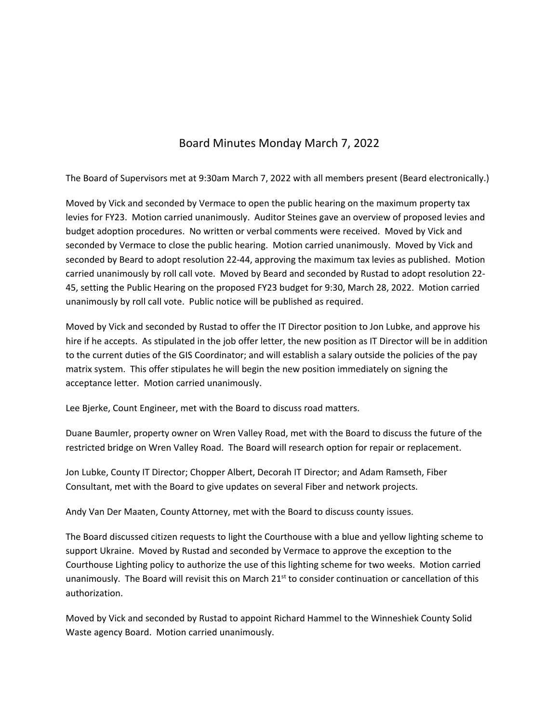## Board Minutes Monday March 7, 2022

The Board of Supervisors met at 9:30am March 7, 2022 with all members present (Beard electronically.)

Moved by Vick and seconded by Vermace to open the public hearing on the maximum property tax levies for FY23. Motion carried unanimously. Auditor Steines gave an overview of proposed levies and budget adoption procedures. No written or verbal comments were received. Moved by Vick and seconded by Vermace to close the public hearing. Motion carried unanimously. Moved by Vick and seconded by Beard to adopt resolution 22-44, approving the maximum tax levies as published. Motion carried unanimously by roll call vote. Moved by Beard and seconded by Rustad to adopt resolution 22‐ 45, setting the Public Hearing on the proposed FY23 budget for 9:30, March 28, 2022. Motion carried unanimously by roll call vote. Public notice will be published as required.

Moved by Vick and seconded by Rustad to offer the IT Director position to Jon Lubke, and approve his hire if he accepts. As stipulated in the job offer letter, the new position as IT Director will be in addition to the current duties of the GIS Coordinator; and will establish a salary outside the policies of the pay matrix system. This offer stipulates he will begin the new position immediately on signing the acceptance letter. Motion carried unanimously.

Lee Bjerke, Count Engineer, met with the Board to discuss road matters.

Duane Baumler, property owner on Wren Valley Road, met with the Board to discuss the future of the restricted bridge on Wren Valley Road. The Board will research option for repair or replacement.

Jon Lubke, County IT Director; Chopper Albert, Decorah IT Director; and Adam Ramseth, Fiber Consultant, met with the Board to give updates on several Fiber and network projects.

Andy Van Der Maaten, County Attorney, met with the Board to discuss county issues.

The Board discussed citizen requests to light the Courthouse with a blue and yellow lighting scheme to support Ukraine. Moved by Rustad and seconded by Vermace to approve the exception to the Courthouse Lighting policy to authorize the use of this lighting scheme for two weeks. Motion carried unanimously. The Board will revisit this on March 21<sup>st</sup> to consider continuation or cancellation of this authorization.

Moved by Vick and seconded by Rustad to appoint Richard Hammel to the Winneshiek County Solid Waste agency Board. Motion carried unanimously.